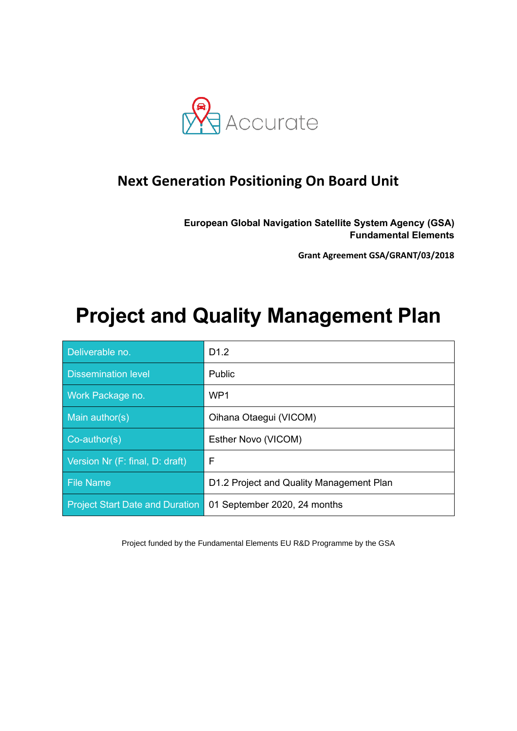

### **Next Generation Positioning On Board Unit**

**European Global Navigation Satellite System Agency (GSA) Fundamental Elements**

**Grant Agreement GSA/GRANT/03/2018**

# **Project and Quality Management Plan**

| Deliverable no.                        | D <sub>1.2</sub>                         |
|----------------------------------------|------------------------------------------|
| <b>Dissemination level</b>             | Public                                   |
| Work Package no.                       | WP <sub>1</sub>                          |
| Main author(s)                         | Oihana Otaegui (VICOM)                   |
| $Co$ -author(s)                        | Esther Novo (VICOM)                      |
| Version Nr (F: final, D: draft)        | F                                        |
| <b>File Name</b>                       | D1.2 Project and Quality Management Plan |
| <b>Project Start Date and Duration</b> | 01 September 2020, 24 months             |

Project funded by the Fundamental Elements EU R&D Programme by the GSA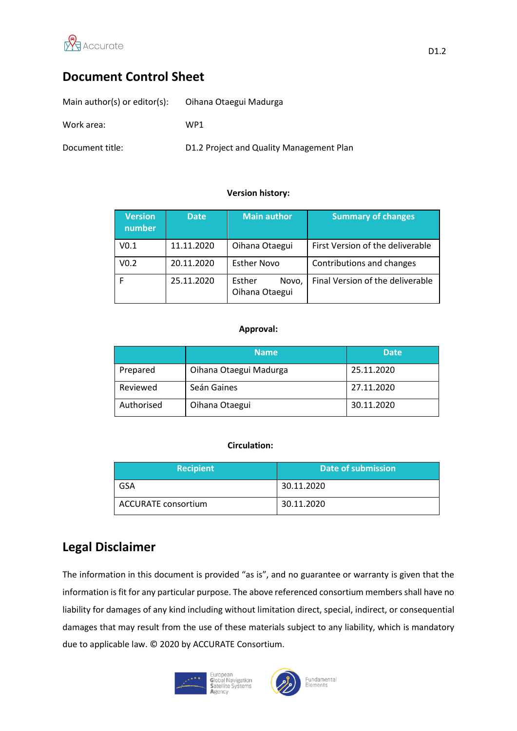

### **Document Control Sheet**

| Main author(s) or editor(s): | Oihana Otaegui Madurga                   |
|------------------------------|------------------------------------------|
| Work area:                   | WP1                                      |
| Document title:              | D1.2 Project and Quality Management Plan |

#### **Version history:**

| <b>Version</b><br>number | <b>Date</b> | <b>Main author</b>                | <b>Summary of changes</b>        |
|--------------------------|-------------|-----------------------------------|----------------------------------|
| V <sub>0.1</sub>         | 11.11.2020  | Oihana Otaegui                    | First Version of the deliverable |
| V <sub>0.2</sub>         | 20.11.2020  | <b>Esther Novo</b>                | Contributions and changes        |
|                          | 25.11.2020  | Esther<br>Novo,<br>Oihana Otaegui | Final Version of the deliverable |

#### **Approval:**

|            | <b>Name</b>            | <b>Date</b> |
|------------|------------------------|-------------|
| Prepared   | Oihana Otaegui Madurga | 25.11.2020  |
| Reviewed   | Seán Gaines            | 27.11.2020  |
| Authorised | Oihana Otaegui         | 30.11.2020  |

#### **Circulation:**

| <b>Recipient</b>           | Date of submission |
|----------------------------|--------------------|
| GSA                        | 30.11.2020         |
| <b>ACCURATE consortium</b> | 30.11.2020         |

### **Legal Disclaimer**

The information in this document is provided "as is", and no guarantee or warranty is given that the information is fit for any particular purpose. The above referenced consortium members shall have no liability for damages of any kind including without limitation direct, special, indirect, or consequential damages that may result from the use of these materials subject to any liability, which is mandatory due to applicable law. © 2020 by ACCURATE Consortium.



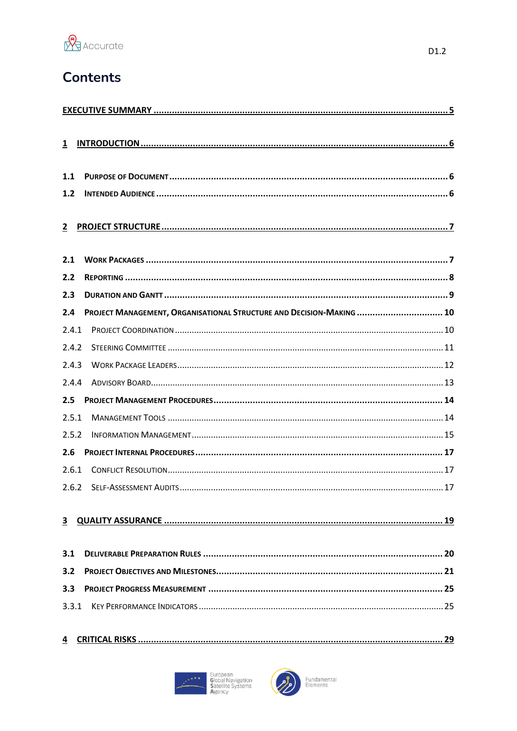

### **Contents**

| $\overline{1}$ |                                                                      |
|----------------|----------------------------------------------------------------------|
| 1.1            |                                                                      |
| 1.2            |                                                                      |
| $\mathbf{2}$   |                                                                      |
| 2.1            |                                                                      |
| 2.2            |                                                                      |
| 2.3            |                                                                      |
| 2.4            | PROJECT MANAGEMENT, ORGANISATIONAL STRUCTURE AND DECISION-MAKING  10 |
| 2.4.1          |                                                                      |
| 2.4.2          |                                                                      |
| 2.4.3          |                                                                      |
| 2.4.4          |                                                                      |
| 2.5            |                                                                      |
| 2.5.1          |                                                                      |
| 2.5.2          |                                                                      |
| 2.6            |                                                                      |
| 2.6.1          |                                                                      |
| 2.6.2          |                                                                      |
| 3              | 19                                                                   |
| 3.1            |                                                                      |
| 3.2            |                                                                      |
| 3.3            |                                                                      |
| 3.3.1          |                                                                      |
| 4              |                                                                      |



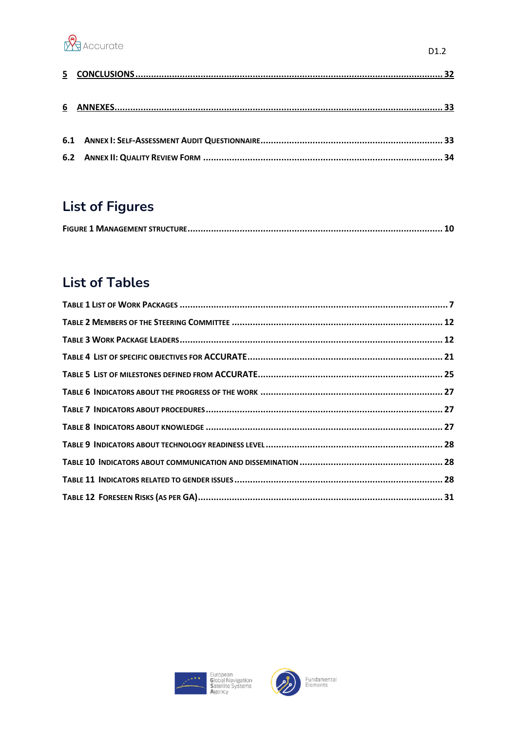

 $D1.2$ 

## **List of Figures**

|--|--|

### **List of Tables**



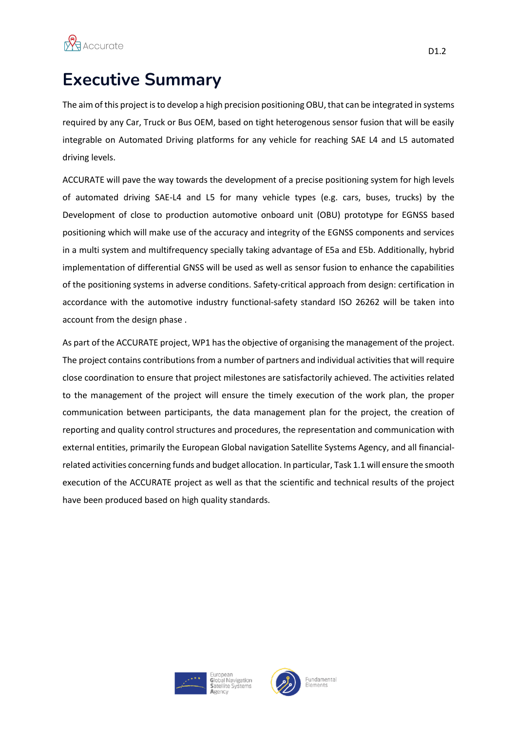

## <span id="page-4-0"></span>**Executive Summary**

The aim of this project is to develop a high precision positioning OBU, that can be integrated in systems required by any Car, Truck or Bus OEM, based on tight heterogenous sensor fusion that will be easily integrable on Automated Driving platforms for any vehicle for reaching SAE L4 and L5 automated driving levels.

ACCURATE will pave the way towards the development of a precise positioning system for high levels of automated driving SAE-L4 and L5 for many vehicle types (e.g. cars, buses, trucks) by the Development of close to production automotive onboard unit (OBU) prototype for EGNSS based positioning which will make use of the accuracy and integrity of the EGNSS components and services in a multi system and multifrequency specially taking advantage of E5a and E5b. Additionally, hybrid implementation of differential GNSS will be used as well as sensor fusion to enhance the capabilities of the positioning systems in adverse conditions. Safety-critical approach from design: certification in accordance with the automotive industry functional-safety standard ISO 26262 will be taken into account from the design phase .

As part of the ACCURATE project, WP1 has the objective of organising the management of the project. The project contains contributions from a number of partners and individual activities that will require close coordination to ensure that project milestones are satisfactorily achieved. The activities related to the management of the project will ensure the timely execution of the work plan, the proper communication between participants, the data management plan for the project, the creation of reporting and quality control structures and procedures, the representation and communication with external entities, primarily the European Global navigation Satellite Systems Agency, and all financialrelated activities concerning funds and budget allocation. In particular, Task 1.1 will ensure the smooth execution of the ACCURATE project as well as that the scientific and technical results of the project have been produced based on high quality standards.



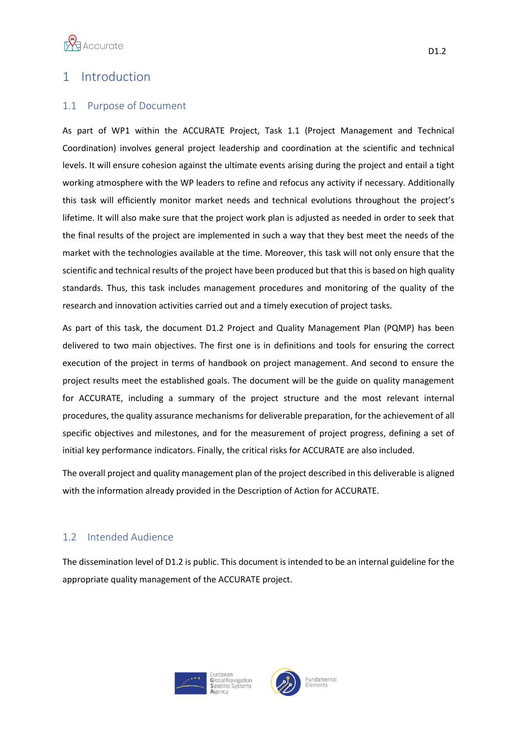

### <span id="page-5-0"></span>1 Introduction

#### <span id="page-5-1"></span>1.1 Purpose of Document

As part of WP1 within the ACCURATE Project, Task 1.1 (Project Management and Technical Coordination) involves general project leadership and coordination at the scientific and technical levels. It will ensure cohesion against the ultimate events arising during the project and entail a tight working atmosphere with the WP leaders to refine and refocus any activity if necessary. Additionally this task will efficiently monitor market needs and technical evolutions throughout the project's lifetime. It will also make sure that the project work plan is adjusted as needed in order to seek that the final results of the project are implemented in such a way that they best meet the needs of the market with the technologies available at the time. Moreover, this task will not only ensure that the scientific and technical results of the project have been produced but that this is based on high quality standards. Thus, this task includes management procedures and monitoring of the quality of the research and innovation activities carried out and a timely execution of project tasks.

As part of this task, the document D1.2 Project and Quality Management Plan (PQMP) has been delivered to two main objectives. The first one is in definitions and tools for ensuring the correct execution of the project in terms of handbook on project management. And second to ensure the project results meet the established goals. The document will be the guide on quality management for ACCURATE, including a summary of the project structure and the most relevant internal procedures, the quality assurance mechanisms for deliverable preparation, for the achievement of all specific objectives and milestones, and for the measurement of project progress, defining a set of initial key performance indicators. Finally, the critical risks for ACCURATE are also included.

The overall project and quality management plan of the project described in this deliverable is aligned with the information already provided in the Description of Action for ACCURATE.

#### <span id="page-5-2"></span>1.2 Intended Audience

The dissemination level of D1.2 is public. This document is intended to be an internal guideline for the appropriate quality management of the ACCURATE project.



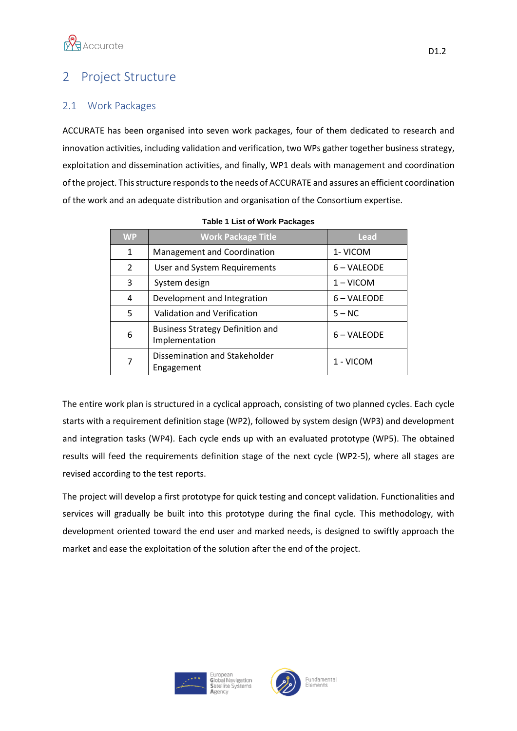

### <span id="page-6-0"></span>2 Project Structure

#### <span id="page-6-1"></span>2.1 Work Packages

ACCURATE has been organised into seven work packages, four of them dedicated to research and innovation activities, including validation and verification, two WPs gather together business strategy, exploitation and dissemination activities, and finally, WP1 deals with management and coordination of the project. This structure responds to the needs of ACCURATE and assures an efficient coordination of the work and an adequate distribution and organisation of the Consortium expertise.

| <b>WP</b>     | <b>Work Package Title</b>                                 | <b>Lead</b> |
|---------------|-----------------------------------------------------------|-------------|
| 1             | Management and Coordination                               | 1- VICOM    |
| $\mathcal{P}$ | User and System Requirements                              | 6 – VALEODE |
| 3             | System design                                             | $1 - VICOM$ |
| 4             | Development and Integration                               | 6 – VALEODE |
| 5             | Validation and Verification                               | $5 - NC$    |
| 6             | <b>Business Strategy Definition and</b><br>Implementation | 6 – VALEODE |
| 7             | Dissemination and Stakeholder<br>Engagement               | 1 - VICOM   |

|  |  |  | <b>Table 1 List of Work Packages</b> |
|--|--|--|--------------------------------------|
|--|--|--|--------------------------------------|

The entire work plan is structured in a cyclical approach, consisting of two planned cycles. Each cycle starts with a requirement definition stage (WP2), followed by system design (WP3) and development and integration tasks (WP4). Each cycle ends up with an evaluated prototype (WP5). The obtained results will feed the requirements definition stage of the next cycle (WP2-5), where all stages are revised according to the test reports.

The project will develop a first prototype for quick testing and concept validation. Functionalities and services will gradually be built into this prototype during the final cycle. This methodology, with development oriented toward the end user and marked needs, is designed to swiftly approach the market and ease the exploitation of the solution after the end of the project.



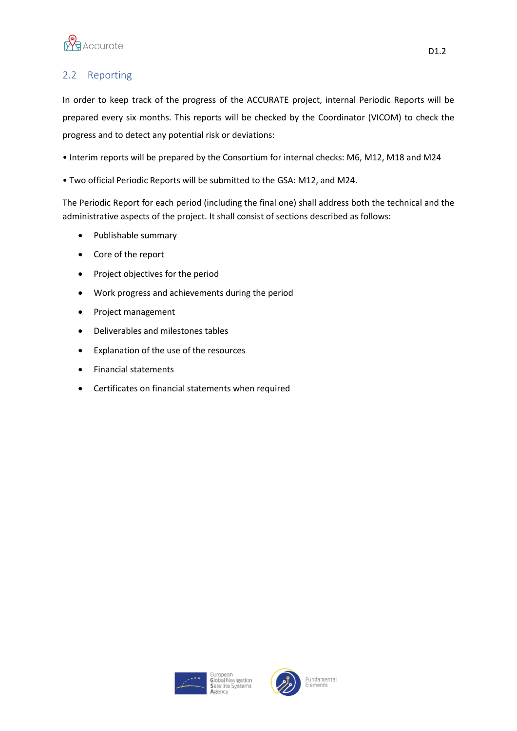

### <span id="page-7-0"></span>2.2 Reporting

In order to keep track of the progress of the ACCURATE project, internal Periodic Reports will be prepared every six months. This reports will be checked by the Coordinator (VICOM) to check the progress and to detect any potential risk or deviations:

- Interim reports will be prepared by the Consortium for internal checks: M6, M12, M18 and M24
- Two official Periodic Reports will be submitted to the GSA: M12, and M24.

The Periodic Report for each period (including the final one) shall address both the technical and the administrative aspects of the project. It shall consist of sections described as follows:

- Publishable summary
- Core of the report
- Project objectives for the period
- Work progress and achievements during the period
- Project management
- Deliverables and milestones tables
- Explanation of the use of the resources
- Financial statements
- Certificates on financial statements when required





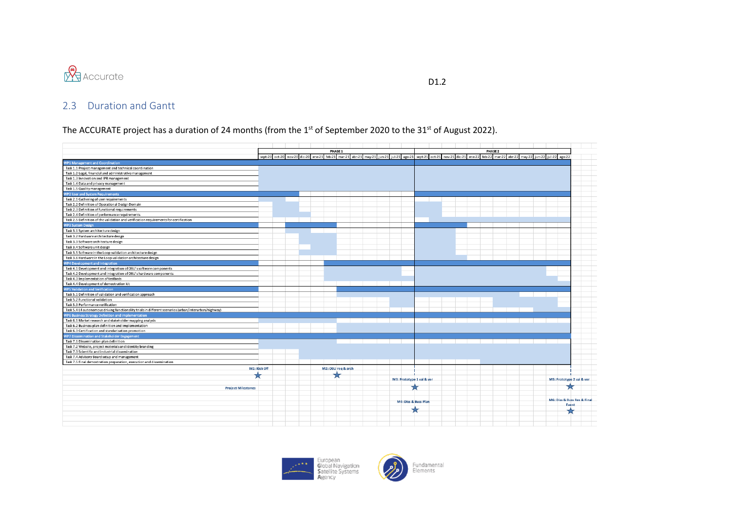

D<sub>1.2</sub>

### 2.3 Duration and Gantt

The ACCURATE project has a duration of 24 months (from the 1<sup>st</sup> of September 2020 to the 31<sup>st</sup> of August 2022).

<span id="page-8-0"></span>

|                                                                                                          |              |                                                                                                                                                                           | PHASE 1            |  |                      |                           |  | PHASE <sub>2</sub> |  |                             |
|----------------------------------------------------------------------------------------------------------|--------------|---------------------------------------------------------------------------------------------------------------------------------------------------------------------------|--------------------|--|----------------------|---------------------------|--|--------------------|--|-----------------------------|
|                                                                                                          |              | sept-20 oct-20 nov-20 dic-20 ene-21 feb-21 mar-21 abr-21 may-21 jun-21 jul-21 ago-21 sept-21 oct-21 nov-21 dic-21 ene-22 feb-22 mar-22 abr-22 may-22 jun-22 jul-22 ago-22 |                    |  |                      |                           |  |                    |  |                             |
| <b>WP1 Management and Coordination</b>                                                                   |              |                                                                                                                                                                           |                    |  |                      |                           |  |                    |  |                             |
| Task 1.1 Project management and technical coordination                                                   |              |                                                                                                                                                                           |                    |  |                      |                           |  |                    |  |                             |
| Task 1.2 Legal, financial and administrative management                                                  |              |                                                                                                                                                                           |                    |  |                      |                           |  |                    |  |                             |
| Task 1.3 Innovation and IPR management                                                                   |              |                                                                                                                                                                           |                    |  |                      |                           |  |                    |  |                             |
| Task 1.4 Data and privacy management                                                                     |              |                                                                                                                                                                           |                    |  |                      |                           |  |                    |  |                             |
| Task 1.5 Quality management                                                                              |              |                                                                                                                                                                           |                    |  |                      |                           |  |                    |  |                             |
| VP2 User and System Requirements                                                                         |              |                                                                                                                                                                           |                    |  |                      |                           |  |                    |  |                             |
| Task 2.1 Gathering of user requirements                                                                  |              |                                                                                                                                                                           |                    |  |                      |                           |  |                    |  |                             |
| Task 2.2 Definition of Operational Design Domain                                                         |              |                                                                                                                                                                           |                    |  |                      |                           |  |                    |  |                             |
| Task 2.3 Definition of functional requirements                                                           |              |                                                                                                                                                                           |                    |  |                      |                           |  |                    |  |                             |
| Task 2.4 Definition of performance requirements                                                          |              |                                                                                                                                                                           |                    |  |                      |                           |  |                    |  |                             |
| Task 2.5 Definition of the validation and verification requirements for certification                    |              |                                                                                                                                                                           |                    |  |                      |                           |  |                    |  |                             |
| <b>NP3 System Design</b>                                                                                 |              |                                                                                                                                                                           |                    |  |                      |                           |  |                    |  |                             |
| Task 3.1 System architecture design                                                                      |              |                                                                                                                                                                           |                    |  |                      |                           |  |                    |  |                             |
| Task 3.2 Hardware architecture design                                                                    |              |                                                                                                                                                                           |                    |  |                      |                           |  |                    |  |                             |
| Task 3.3 Software architecture design                                                                    |              |                                                                                                                                                                           |                    |  |                      |                           |  |                    |  |                             |
| Task 3.4 Software unit design                                                                            |              |                                                                                                                                                                           |                    |  |                      |                           |  |                    |  |                             |
| Task 3.5 Software in the Loop validation architecture design                                             |              |                                                                                                                                                                           |                    |  |                      |                           |  |                    |  |                             |
| Task 3.6 Hardware in the Loop validation architecture design                                             |              |                                                                                                                                                                           |                    |  |                      |                           |  |                    |  |                             |
|                                                                                                          |              |                                                                                                                                                                           |                    |  |                      |                           |  |                    |  |                             |
| WP4 Development and Integration                                                                          |              |                                                                                                                                                                           |                    |  |                      |                           |  |                    |  |                             |
| Task 4.1 Development and integration of OBU's software components                                        |              |                                                                                                                                                                           |                    |  |                      |                           |  |                    |  |                             |
| Task 4.2 Development and integration of OBU's hardware components<br>Task 4.3 Implementation of testbeds |              |                                                                                                                                                                           |                    |  |                      |                           |  |                    |  |                             |
|                                                                                                          |              |                                                                                                                                                                           |                    |  |                      |                           |  |                    |  |                             |
| Task 4.4 Development of demostration kit                                                                 |              |                                                                                                                                                                           |                    |  |                      |                           |  |                    |  |                             |
| <b>VP5 Validation and Verification</b>                                                                   |              |                                                                                                                                                                           |                    |  |                      |                           |  |                    |  |                             |
| Task 5.1 Definition of validation and verification approach<br>Task 5.2 Functional validation            |              |                                                                                                                                                                           |                    |  |                      |                           |  |                    |  |                             |
| Task 5.3 Performance verification                                                                        |              |                                                                                                                                                                           |                    |  |                      |                           |  |                    |  |                             |
|                                                                                                          |              |                                                                                                                                                                           |                    |  |                      |                           |  |                    |  |                             |
| Task 5.4 L4 autonomous driving functionality trials in different scenarios (urban/interurban/highway)    |              |                                                                                                                                                                           |                    |  |                      |                           |  |                    |  |                             |
| VP6 Business Strategy Definition and Implementation                                                      |              |                                                                                                                                                                           |                    |  |                      |                           |  |                    |  |                             |
| Task 6.1 Market research and stakeholder mapping analysis                                                |              |                                                                                                                                                                           |                    |  |                      |                           |  |                    |  |                             |
| Task 6.2 Business plan definition and implementation                                                     |              |                                                                                                                                                                           |                    |  |                      |                           |  |                    |  |                             |
| Task 6.3 Certification and standarisation promotion                                                      |              |                                                                                                                                                                           |                    |  |                      |                           |  |                    |  |                             |
| VP7 Dissemination and Stakeholder Engagement                                                             |              |                                                                                                                                                                           |                    |  |                      |                           |  |                    |  |                             |
| Task 7.1 Dissemination plan definition                                                                   |              |                                                                                                                                                                           |                    |  |                      |                           |  |                    |  |                             |
| Task 7.2 Website, project materials and identity branding                                                |              |                                                                                                                                                                           |                    |  |                      |                           |  |                    |  |                             |
| Task 7.3 Scientific and industrial dissemination                                                         |              |                                                                                                                                                                           |                    |  |                      |                           |  |                    |  |                             |
| Task 7.4 Advisory Board setup and management                                                             |              |                                                                                                                                                                           |                    |  |                      |                           |  |                    |  |                             |
| Task 7.5 Final demostration preparation, execution and dissemination                                     |              |                                                                                                                                                                           |                    |  |                      |                           |  |                    |  |                             |
|                                                                                                          | M1: Kick Off |                                                                                                                                                                           | M2: OBU req & arch |  |                      |                           |  |                    |  |                             |
|                                                                                                          |              |                                                                                                                                                                           |                    |  |                      |                           |  |                    |  |                             |
|                                                                                                          |              |                                                                                                                                                                           |                    |  |                      | M3: Prototype 1 val & ver |  |                    |  | M5: Prototype 2 val & ver   |
|                                                                                                          |              |                                                                                                                                                                           |                    |  |                      |                           |  |                    |  |                             |
| <b>Project Milestones</b>                                                                                |              |                                                                                                                                                                           |                    |  |                      |                           |  |                    |  | z.                          |
|                                                                                                          |              |                                                                                                                                                                           |                    |  |                      |                           |  |                    |  |                             |
|                                                                                                          |              |                                                                                                                                                                           |                    |  | M4: Diss & Buss Plan |                           |  |                    |  | M6: Diss & Buss Res & Final |
|                                                                                                          |              |                                                                                                                                                                           |                    |  |                      |                           |  |                    |  | Event                       |
|                                                                                                          |              |                                                                                                                                                                           |                    |  | x                    |                           |  |                    |  | ম                           |
|                                                                                                          |              |                                                                                                                                                                           |                    |  |                      |                           |  |                    |  |                             |
|                                                                                                          |              |                                                                                                                                                                           |                    |  |                      |                           |  |                    |  |                             |
|                                                                                                          |              |                                                                                                                                                                           |                    |  |                      |                           |  |                    |  |                             |



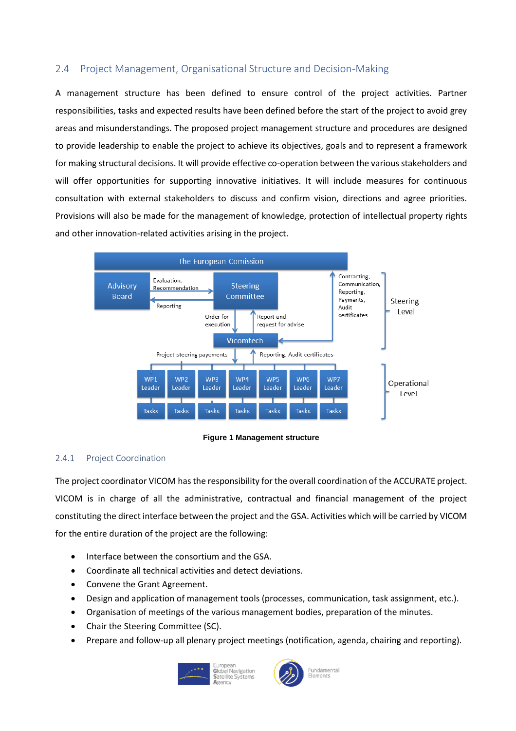#### <span id="page-9-0"></span>2.4 Project Management, Organisational Structure and Decision-Making

A management structure has been defined to ensure control of the project activities. Partner responsibilities, tasks and expected results have been defined before the start of the project to avoid grey areas and misunderstandings. The proposed project management structure and procedures are designed to provide leadership to enable the project to achieve its objectives, goals and to represent a framework for making structural decisions. It will provide effective co-operation between the various stakeholders and will offer opportunities for supporting innovative initiatives. It will include measures for continuous consultation with external stakeholders to discuss and confirm vision, directions and agree priorities. Provisions will also be made for the management of knowledge, protection of intellectual property rights and other innovation-related activities arising in the project.



**Figure 1 Management structure**

#### <span id="page-9-2"></span><span id="page-9-1"></span>2.4.1 Project Coordination

The project coordinator VICOM has the responsibility for the overall coordination of the ACCURATE project. VICOM is in charge of all the administrative, contractual and financial management of the project constituting the direct interface between the project and the GSA. Activities which will be carried by VICOM for the entire duration of the project are the following:

- Interface between the consortium and the GSA.
- Coordinate all technical activities and detect deviations.
- Convene the Grant Agreement.
- Design and application of management tools (processes, communication, task assignment, etc.).
- Organisation of meetings of the various management bodies, preparation of the minutes.
- Chair the Steering Committee (SC).
- Prepare and follow-up all plenary project meetings (notification, agenda, chairing and reporting).



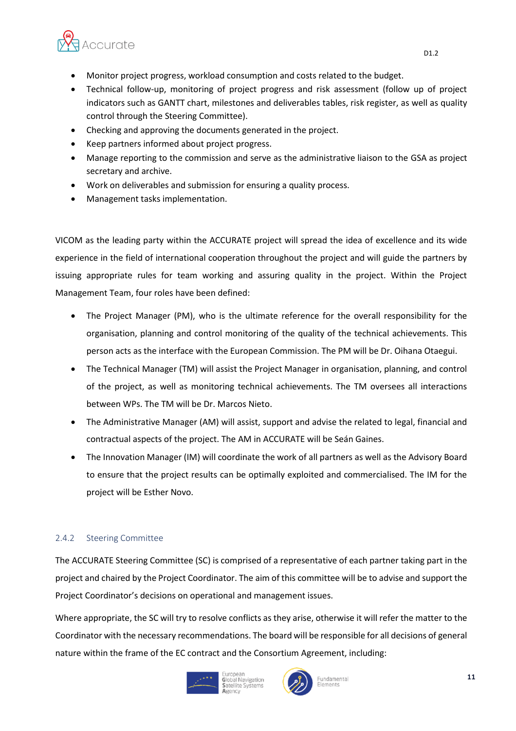

- Monitor project progress, workload consumption and costs related to the budget.
- Technical follow-up, monitoring of project progress and risk assessment (follow up of project indicators such as GANTT chart, milestones and deliverables tables, risk register, as well as quality control through the Steering Committee).
- Checking and approving the documents generated in the project.
- Keep partners informed about project progress.
- Manage reporting to the commission and serve as the administrative liaison to the GSA as project secretary and archive.
- Work on deliverables and submission for ensuring a quality process.
- Management tasks implementation.

VICOM as the leading party within the ACCURATE project will spread the idea of excellence and its wide experience in the field of international cooperation throughout the project and will guide the partners by issuing appropriate rules for team working and assuring quality in the project. Within the Project Management Team, four roles have been defined:

- The Project Manager (PM), who is the ultimate reference for the overall responsibility for the organisation, planning and control monitoring of the quality of the technical achievements. This person acts as the interface with the European Commission. The PM will be Dr. Oihana Otaegui.
- The Technical Manager (TM) will assist the Project Manager in organisation, planning, and control of the project, as well as monitoring technical achievements. The TM oversees all interactions between WPs. The TM will be Dr. Marcos Nieto.
- The Administrative Manager (AM) will assist, support and advise the related to legal, financial and contractual aspects of the project. The AM in ACCURATE will be Seán Gaines.
- The Innovation Manager (IM) will coordinate the work of all partners as well as the Advisory Board to ensure that the project results can be optimally exploited and commercialised. The IM for the project will be Esther Novo.

#### <span id="page-10-0"></span>2.4.2 Steering Committee

The ACCURATE Steering Committee (SC) is comprised of a representative of each partner taking part in the project and chaired by the Project Coordinator. The aim of this committee will be to advise and support the Project Coordinator's decisions on operational and management issues.

Where appropriate, the SC will try to resolve conflicts as they arise, otherwise it will refer the matter to the Coordinator with the necessary recommendations. The board will be responsible for all decisions of general nature within the frame of the EC contract and the Consortium Agreement, including:





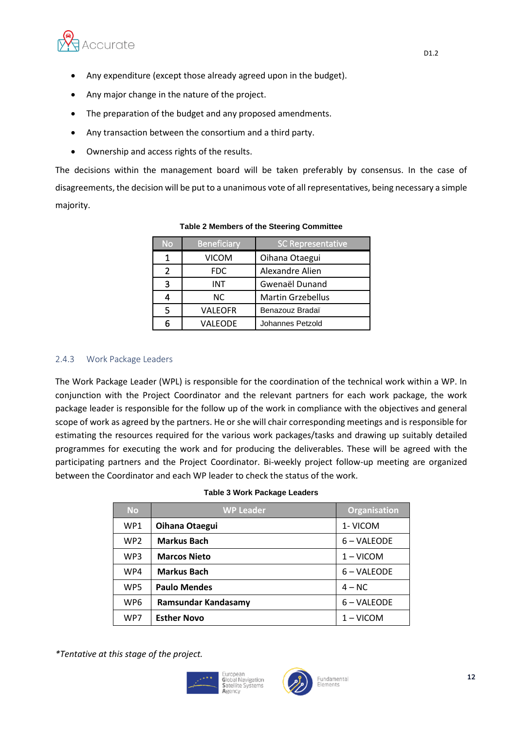

- Any expenditure (except those already agreed upon in the budget).
- Any major change in the nature of the project.
- The preparation of the budget and any proposed amendments.
- Any transaction between the consortium and a third party.
- Ownership and access rights of the results.

The decisions within the management board will be taken preferably by consensus. In the case of disagreements, the decision will be put to a unanimous vote of all representatives, being necessary a simple majority.

| No | <b>Beneficiary</b> | <b>SC Representative</b> |  |
|----|--------------------|--------------------------|--|
| 1  | <b>VICOM</b>       | Oihana Otaegui           |  |
| 2  | <b>FDC</b>         | Alexandre Alien          |  |
| 3  | <b>INT</b>         | Gwenaël Dunand           |  |
|    | NC.                | <b>Martin Grzebellus</b> |  |
| 5  | VALEOFR            | Benazouz Bradaï          |  |
|    | VALEODE            | Johannes Petzold         |  |

#### **Table 2 Members of the Steering Committee**

#### <span id="page-11-0"></span>2.4.3 Work Package Leaders

The Work Package Leader (WPL) is responsible for the coordination of the technical work within a WP. In conjunction with the Project Coordinator and the relevant partners for each work package, the work package leader is responsible for the follow up of the work in compliance with the objectives and general scope of work as agreed by the partners. He or she will chair corresponding meetings and is responsible for estimating the resources required for the various work packages/tasks and drawing up suitably detailed programmes for executing the work and for producing the deliverables. These will be agreed with the participating partners and the Project Coordinator. Bi-weekly project follow-up meeting are organized between the Coordinator and each WP leader to check the status of the work.

| <b>No</b>       | <b>WP Leader</b>    | <b>Organisation</b> |
|-----------------|---------------------|---------------------|
| WP1             | Oihana Otaegui      | 1- VICOM            |
| WP2             | <b>Markus Bach</b>  | 6 – VALEODE         |
| WP3             | <b>Marcos Nieto</b> | $1 - VICOM$         |
| WP4             | <b>Markus Bach</b>  | 6 – VALEODE         |
| WP5             | <b>Paulo Mendes</b> | $4 - NC$            |
| WP <sub>6</sub> | Ramsundar Kandasamy | 6 – VALEODE         |
| WP7             | <b>Esther Novo</b>  | $1 - VICOM$         |

*\*Tentative at this stage of the project.*



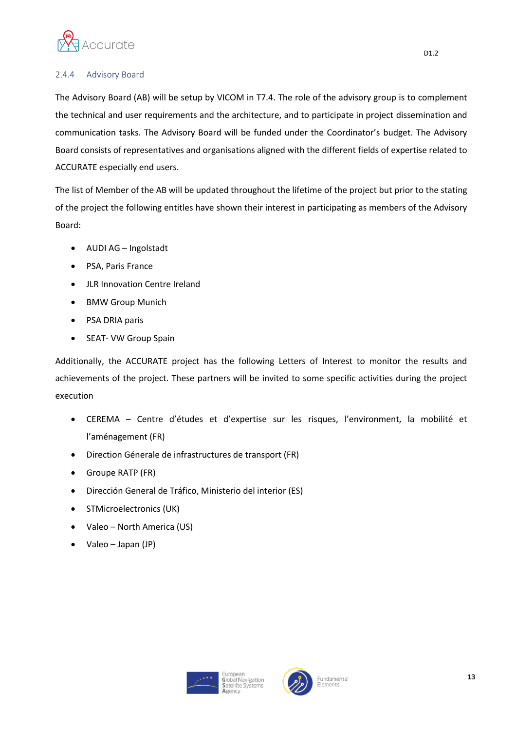

#### <span id="page-12-0"></span>2.4.4 Advisory Board

The Advisory Board (AB) will be setup by VICOM in T7.4. The role of the advisory group is to complement the technical and user requirements and the architecture, and to participate in project dissemination and communication tasks. The Advisory Board will be funded under the Coordinator's budget. The Advisory Board consists of representatives and organisations aligned with the different fields of expertise related to ACCURATE especially end users.

The list of Member of the AB will be updated throughout the lifetime of the project but prior to the stating of the project the following entitles have shown their interest in participating as members of the Advisory Board:

- AUDI AG Ingolstadt
- PSA, Paris France
- JLR Innovation Centre Ireland
- BMW Group Munich
- PSA DRIA paris
- SEAT- VW Group Spain

Additionally, the ACCURATE project has the following Letters of Interest to monitor the results and achievements of the project. These partners will be invited to some specific activities during the project execution

- CEREMA Centre d'études et d'expertise sur les risques, l'environment, la mobilité et l'aménagement (FR)
- Direction Génerale de infrastructures de transport (FR)
- Groupe RATP (FR)
- Dirección General de Tráfico, Ministerio del interior (ES)
- STMicroelectronics (UK)
- Valeo North America (US)
- Valeo Japan (JP)



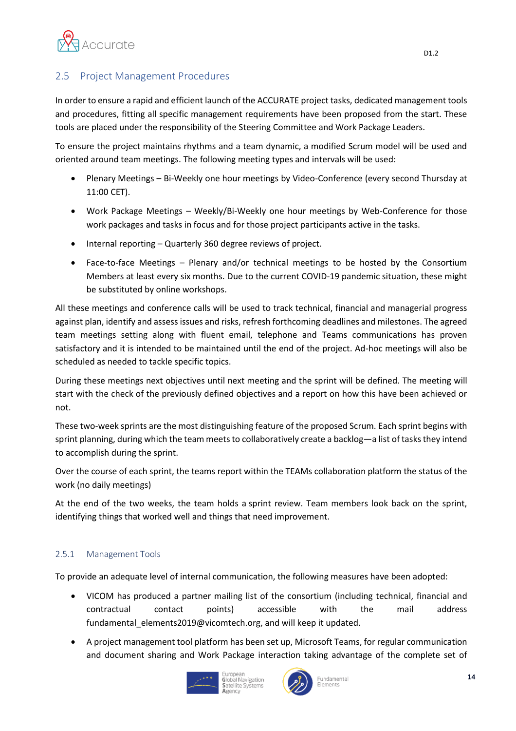

#### <span id="page-13-0"></span>2.5 Project Management Procedures

In order to ensure a rapid and efficient launch of the ACCURATE project tasks, dedicated management tools and procedures, fitting all specific management requirements have been proposed from the start. These tools are placed under the responsibility of the Steering Committee and Work Package Leaders.

To ensure the project maintains rhythms and a team dynamic, a modified Scrum model will be used and oriented around team meetings. The following meeting types and intervals will be used:

- Plenary Meetings Bi-Weekly one hour meetings by Video-Conference (every second Thursday at 11:00 CET).
- Work Package Meetings Weekly/Bi-Weekly one hour meetings by Web-Conference for those work packages and tasks in focus and for those project participants active in the tasks.
- Internal reporting Quarterly 360 degree reviews of project.
- Face-to-face Meetings Plenary and/or technical meetings to be hosted by the Consortium Members at least every six months. Due to the current COVID-19 pandemic situation, these might be substituted by online workshops.

All these meetings and conference calls will be used to track technical, financial and managerial progress against plan, identify and assess issues and risks, refresh forthcoming deadlines and milestones. The agreed team meetings setting along with fluent email, telephone and Teams communications has proven satisfactory and it is intended to be maintained until the end of the project. Ad-hoc meetings will also be scheduled as needed to tackle specific topics.

During these meetings next objectives until next meeting and the sprint will be defined. The meeting will start with the check of the previously defined objectives and a report on how this have been achieved or not.

These two-week sprints are the most distinguishing feature of the proposed Scrum. Each sprint begins with sprint planning, during which the team meets to collaboratively create a backlog—a list of tasks they intend to accomplish during the sprint.

Over the course of each sprint, the teams report within the TEAMs collaboration platform the status of the work (no daily meetings)

At the end of the two weeks, the team holds a sprint review. Team members look back on the sprint, identifying things that worked well and things that need improvement.

#### <span id="page-13-1"></span>2.5.1 Management Tools

To provide an adequate level of internal communication, the following measures have been adopted:

- VICOM has produced a partner mailing list of the consortium (including technical, financial and contractual contact points) accessible with the mail address fundamental elements2019@vicomtech.org, and will keep it updated.
- A project management tool platform has been set up, Microsoft Teams, for regular communication and document sharing and Work Package interaction taking advantage of the complete set of





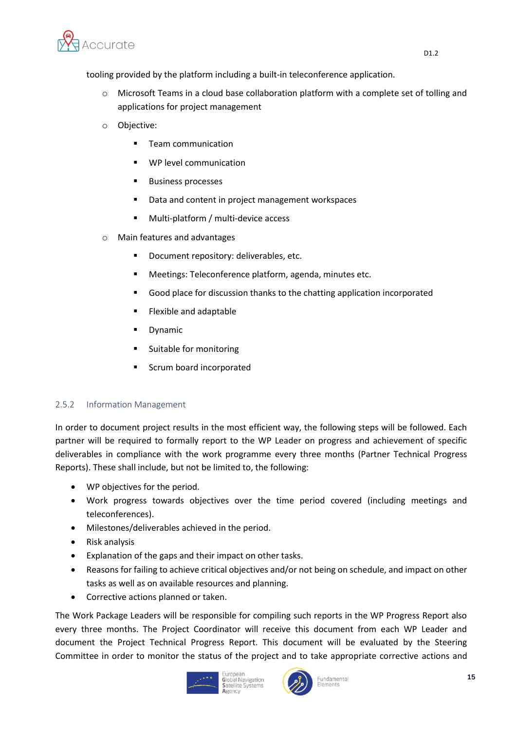

tooling provided by the platform including a built-in teleconference application.

- o Microsoft Teams in a cloud base collaboration platform with a complete set of tolling and applications for project management
- o Objective:
	- Team communication
	- WP level communication
	- Business processes
	- Data and content in project management workspaces
	- Multi-platform / multi-device access
- o Main features and advantages
	- Document repository: deliverables, etc.
	- Meetings: Teleconference platform, agenda, minutes etc.
	- Good place for discussion thanks to the chatting application incorporated
	- Flexible and adaptable
	- Dynamic
	- Suitable for monitoring
	- Scrum board incorporated

#### <span id="page-14-0"></span>2.5.2 Information Management

In order to document project results in the most efficient way, the following steps will be followed. Each partner will be required to formally report to the WP Leader on progress and achievement of specific deliverables in compliance with the work programme every three months (Partner Technical Progress Reports). These shall include, but not be limited to, the following:

- WP objectives for the period.
- Work progress towards objectives over the time period covered (including meetings and teleconferences).
- Milestones/deliverables achieved in the period.
- Risk analysis
- Explanation of the gaps and their impact on other tasks.
- Reasons for failing to achieve critical objectives and/or not being on schedule, and impact on other tasks as well as on available resources and planning.
- Corrective actions planned or taken.

The Work Package Leaders will be responsible for compiling such reports in the WP Progress Report also every three months. The Project Coordinator will receive this document from each WP Leader and document the Project Technical Progress Report. This document will be evaluated by the Steering Committee in order to monitor the status of the project and to take appropriate corrective actions and





Fundamental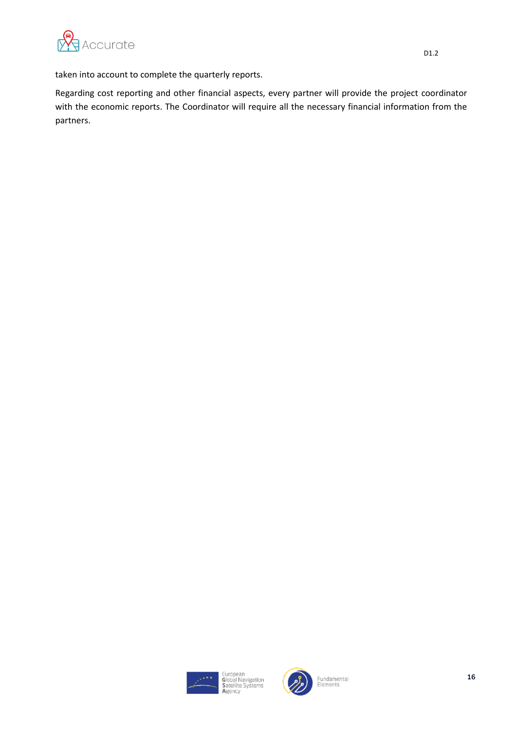

taken into account to complete the quarterly reports.

Regarding cost reporting and other financial aspects, every partner will provide the project coordinator with the economic reports. The Coordinator will require all the necessary financial information from the partners.



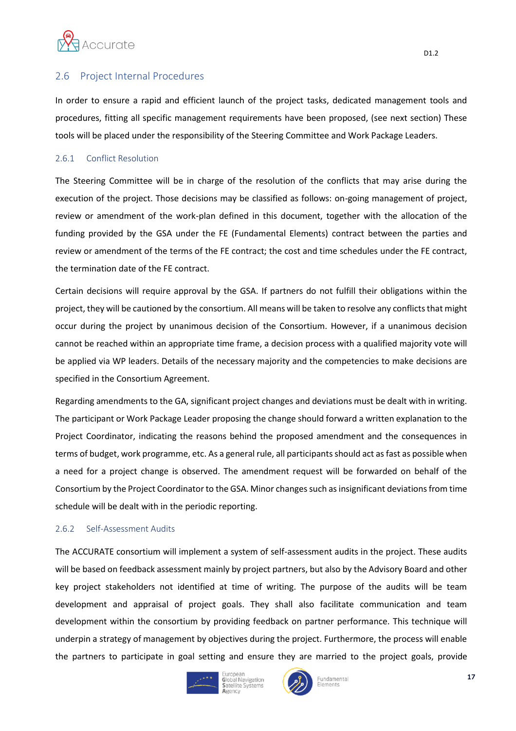

#### <span id="page-16-0"></span>2.6 Project Internal Procedures

In order to ensure a rapid and efficient launch of the project tasks, dedicated management tools and procedures, fitting all specific management requirements have been proposed, (see next section) These tools will be placed under the responsibility of the Steering Committee and Work Package Leaders.

#### <span id="page-16-1"></span>2.6.1 Conflict Resolution

The Steering Committee will be in charge of the resolution of the conflicts that may arise during the execution of the project. Those decisions may be classified as follows: on-going management of project, review or amendment of the work-plan defined in this document, together with the allocation of the funding provided by the GSA under the FE (Fundamental Elements) contract between the parties and review or amendment of the terms of the FE contract; the cost and time schedules under the FE contract, the termination date of the FE contract.

Certain decisions will require approval by the GSA. If partners do not fulfill their obligations within the project, they will be cautioned by the consortium. All means will be taken to resolve any conflicts that might occur during the project by unanimous decision of the Consortium. However, if a unanimous decision cannot be reached within an appropriate time frame, a decision process with a qualified majority vote will be applied via WP leaders. Details of the necessary majority and the competencies to make decisions are specified in the Consortium Agreement.

Regarding amendments to the GA, significant project changes and deviations must be dealt with in writing. The participant or Work Package Leader proposing the change should forward a written explanation to the Project Coordinator, indicating the reasons behind the proposed amendment and the consequences in terms of budget, work programme, etc. As a general rule, all participants should act as fast as possible when a need for a project change is observed. The amendment request will be forwarded on behalf of the Consortium by the Project Coordinator to the GSA. Minor changes such as insignificant deviations from time schedule will be dealt with in the periodic reporting.

#### <span id="page-16-2"></span>2.6.2 Self-Assessment Audits

The ACCURATE consortium will implement a system of self-assessment audits in the project. These audits will be based on feedback assessment mainly by project partners, but also by the Advisory Board and other key project stakeholders not identified at time of writing. The purpose of the audits will be team development and appraisal of project goals. They shall also facilitate communication and team development within the consortium by providing feedback on partner performance. This technique will underpin a strategy of management by objectives during the project. Furthermore, the process will enable the partners to participate in goal setting and ensure they are married to the project goals, provide







D1.2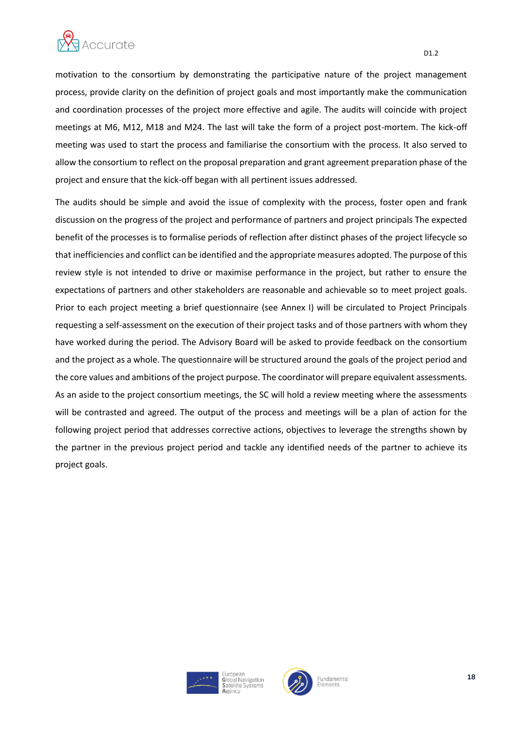

motivation to the consortium by demonstrating the participative nature of the project management process, provide clarity on the definition of project goals and most importantly make the communication and coordination processes of the project more effective and agile. The audits will coincide with project meetings at M6, M12, M18 and M24. The last will take the form of a project post-mortem. The kick-off meeting was used to start the process and familiarise the consortium with the process. It also served to allow the consortium to reflect on the proposal preparation and grant agreement preparation phase of the project and ensure that the kick-off began with all pertinent issues addressed.

The audits should be simple and avoid the issue of complexity with the process, foster open and frank discussion on the progress of the project and performance of partners and project principals The expected benefit of the processes is to formalise periods of reflection after distinct phases of the project lifecycle so that inefficiencies and conflict can be identified and the appropriate measures adopted. The purpose of this review style is not intended to drive or maximise performance in the project, but rather to ensure the expectations of partners and other stakeholders are reasonable and achievable so to meet project goals. Prior to each project meeting a brief questionnaire (see Annex I) will be circulated to Project Principals requesting a self-assessment on the execution of their project tasks and of those partners with whom they have worked during the period. The Advisory Board will be asked to provide feedback on the consortium and the project as a whole. The questionnaire will be structured around the goals of the project period and the core values and ambitions of the project purpose. The coordinator will prepare equivalent assessments. As an aside to the project consortium meetings, the SC will hold a review meeting where the assessments will be contrasted and agreed. The output of the process and meetings will be a plan of action for the following project period that addresses corrective actions, objectives to leverage the strengths shown by the partner in the previous project period and tackle any identified needs of the partner to achieve its project goals.



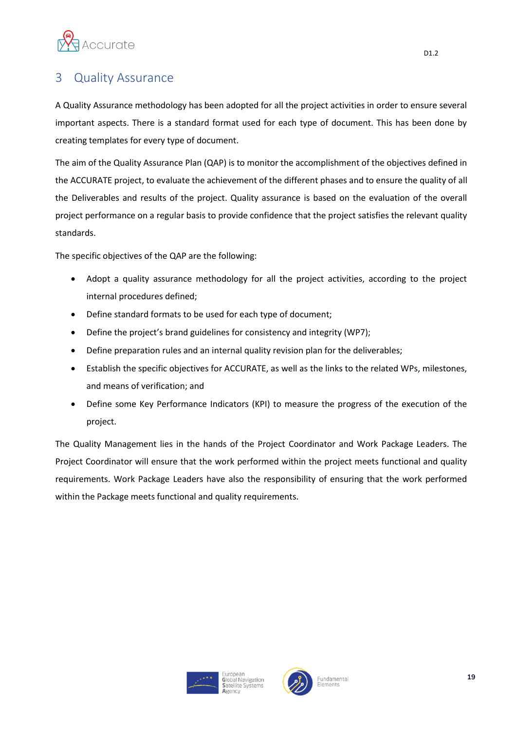

### <span id="page-18-0"></span>3 Quality Assurance

A Quality Assurance methodology has been adopted for all the project activities in order to ensure several important aspects. There is a standard format used for each type of document. This has been done by creating templates for every type of document.

The aim of the Quality Assurance Plan (QAP) is to monitor the accomplishment of the objectives defined in the ACCURATE project, to evaluate the achievement of the different phases and to ensure the quality of all the Deliverables and results of the project. Quality assurance is based on the evaluation of the overall project performance on a regular basis to provide confidence that the project satisfies the relevant quality standards.

The specific objectives of the QAP are the following:

- Adopt a quality assurance methodology for all the project activities, according to the project internal procedures defined;
- Define standard formats to be used for each type of document;
- Define the project's brand guidelines for consistency and integrity (WP7);
- Define preparation rules and an internal quality revision plan for the deliverables;
- Establish the specific objectives for ACCURATE, as well as the links to the related WPs, milestones, and means of verification; and
- Define some Key Performance Indicators (KPI) to measure the progress of the execution of the project.

The Quality Management lies in the hands of the Project Coordinator and Work Package Leaders. The Project Coordinator will ensure that the work performed within the project meets functional and quality requirements. Work Package Leaders have also the responsibility of ensuring that the work performed within the Package meets functional and quality requirements.





19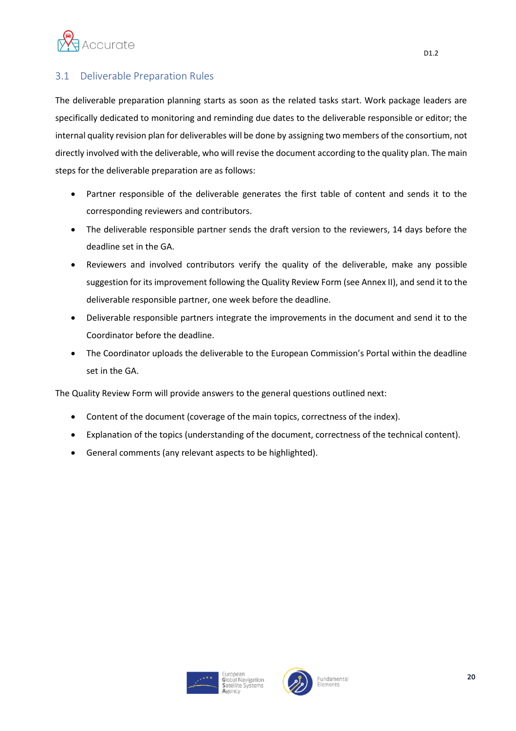

#### <span id="page-19-0"></span>3.1 Deliverable Preparation Rules

The deliverable preparation planning starts as soon as the related tasks start. Work package leaders are specifically dedicated to monitoring and reminding due dates to the deliverable responsible or editor; the internal quality revision plan for deliverables will be done by assigning two members of the consortium, not directly involved with the deliverable, who will revise the document according to the quality plan. The main steps for the deliverable preparation are as follows:

- Partner responsible of the deliverable generates the first table of content and sends it to the corresponding reviewers and contributors.
- The deliverable responsible partner sends the draft version to the reviewers, 14 days before the deadline set in the GA.
- Reviewers and involved contributors verify the quality of the deliverable, make any possible suggestion for its improvement following the Quality Review Form (see Annex II), and send it to the deliverable responsible partner, one week before the deadline.
- Deliverable responsible partners integrate the improvements in the document and send it to the Coordinator before the deadline.
- The Coordinator uploads the deliverable to the European Commission's Portal within the deadline set in the GA.

The Quality Review Form will provide answers to the general questions outlined next:

- Content of the document (coverage of the main topics, correctness of the index).
- Explanation of the topics (understanding of the document, correctness of the technical content).
- General comments (any relevant aspects to be highlighted).



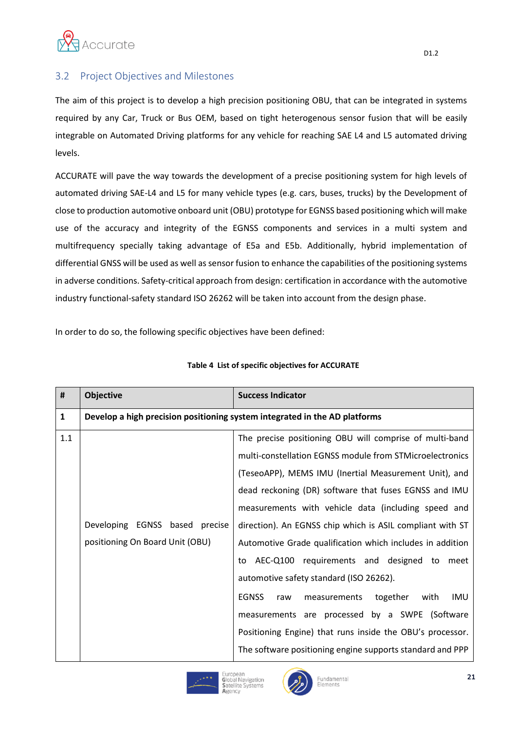

#### <span id="page-20-0"></span>3.2 Project Objectives and Milestones

The aim of this project is to develop a high precision positioning OBU, that can be integrated in systems required by any Car, Truck or Bus OEM, based on tight heterogenous sensor fusion that will be easily integrable on Automated Driving platforms for any vehicle for reaching SAE L4 and L5 automated driving levels.

ACCURATE will pave the way towards the development of a precise positioning system for high levels of automated driving SAE-L4 and L5 for many vehicle types (e.g. cars, buses, trucks) by the Development of close to production automotive onboard unit (OBU) prototype for EGNSS based positioning which will make use of the accuracy and integrity of the EGNSS components and services in a multi system and multifrequency specially taking advantage of E5a and E5b. Additionally, hybrid implementation of differential GNSS will be used as well as sensor fusion to enhance the capabilities of the positioning systems in adverse conditions. Safety-critical approach from design: certification in accordance with the automotive industry functional-safety standard ISO 26262 will be taken into account from the design phase.

In order to do so, the following specific objectives have been defined:

| #            | <b>Objective</b>                | <b>Success Indicator</b>                                                   |
|--------------|---------------------------------|----------------------------------------------------------------------------|
| $\mathbf{1}$ |                                 | Develop a high precision positioning system integrated in the AD platforms |
| 1.1          |                                 | The precise positioning OBU will comprise of multi-band                    |
|              |                                 | multi-constellation EGNSS module from STMicroelectronics                   |
|              |                                 | (TeseoAPP), MEMS IMU (Inertial Measurement Unit), and                      |
|              |                                 | dead reckoning (DR) software that fuses EGNSS and IMU                      |
|              |                                 | measurements with vehicle data (including speed and                        |
|              | Developing EGNSS based precise  | direction). An EGNSS chip which is ASIL compliant with ST                  |
|              | positioning On Board Unit (OBU) | Automotive Grade qualification which includes in addition                  |
|              |                                 | to AEC-Q100 requirements and designed to meet                              |
|              |                                 | automotive safety standard (ISO 26262).                                    |
|              |                                 | <b>EGNSS</b><br>together<br>IMU<br>with<br>measurements<br>raw             |
|              |                                 | measurements are processed by a SWPE (Software                             |
|              |                                 | Positioning Engine) that runs inside the OBU's processor.                  |
|              |                                 | The software positioning engine supports standard and PPP                  |

#### **Table 4 List of specific objectives for ACCURATE**



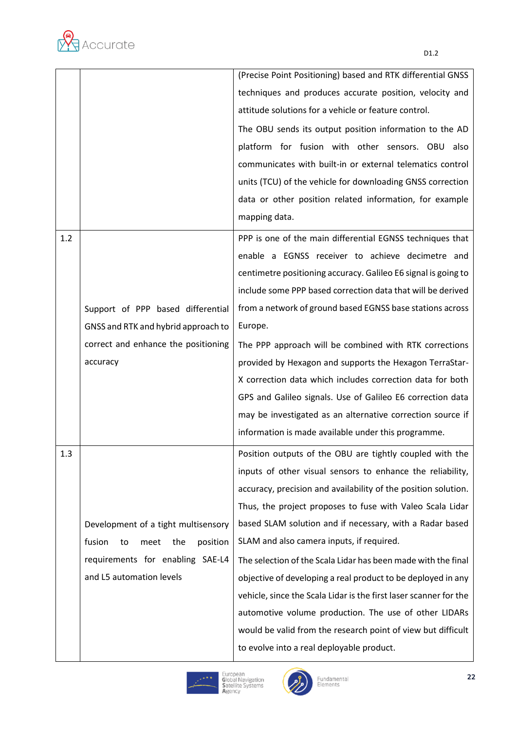

|     |                                         | (Precise Point Positioning) based and RTK differential GNSS       |
|-----|-----------------------------------------|-------------------------------------------------------------------|
|     |                                         | techniques and produces accurate position, velocity and           |
|     |                                         | attitude solutions for a vehicle or feature control.              |
|     |                                         | The OBU sends its output position information to the AD           |
|     |                                         | platform for fusion with other sensors. OBU also                  |
|     |                                         | communicates with built-in or external telematics control         |
|     |                                         | units (TCU) of the vehicle for downloading GNSS correction        |
|     |                                         | data or other position related information, for example           |
|     |                                         | mapping data.                                                     |
| 1.2 |                                         | PPP is one of the main differential EGNSS techniques that         |
|     |                                         | enable a EGNSS receiver to achieve decimetre and                  |
|     |                                         | centimetre positioning accuracy. Galileo E6 signal is going to    |
|     |                                         | include some PPP based correction data that will be derived       |
|     | Support of PPP based differential       | from a network of ground based EGNSS base stations across         |
|     | GNSS and RTK and hybrid approach to     | Europe.                                                           |
|     | correct and enhance the positioning     | The PPP approach will be combined with RTK corrections            |
|     | accuracy                                | provided by Hexagon and supports the Hexagon TerraStar-           |
|     |                                         | X correction data which includes correction data for both         |
|     |                                         | GPS and Galileo signals. Use of Galileo E6 correction data        |
|     |                                         | may be investigated as an alternative correction source if        |
|     |                                         | information is made available under this programme.               |
| 1.3 |                                         | Position outputs of the OBU are tightly coupled with the          |
|     |                                         | inputs of other visual sensors to enhance the reliability,        |
|     |                                         | accuracy, precision and availability of the position solution.    |
|     |                                         | Thus, the project proposes to fuse with Valeo Scala Lidar         |
|     | Development of a tight multisensory     | based SLAM solution and if necessary, with a Radar based          |
|     | fusion<br>the<br>position<br>to<br>meet | SLAM and also camera inputs, if required.                         |
|     | requirements for enabling SAE-L4        | The selection of the Scala Lidar has been made with the final     |
|     | and L5 automation levels                | objective of developing a real product to be deployed in any      |
|     |                                         | vehicle, since the Scala Lidar is the first laser scanner for the |
|     |                                         | automotive volume production. The use of other LIDARs             |
|     |                                         | would be valid from the research point of view but difficult      |
|     |                                         | to evolve into a real deployable product.                         |



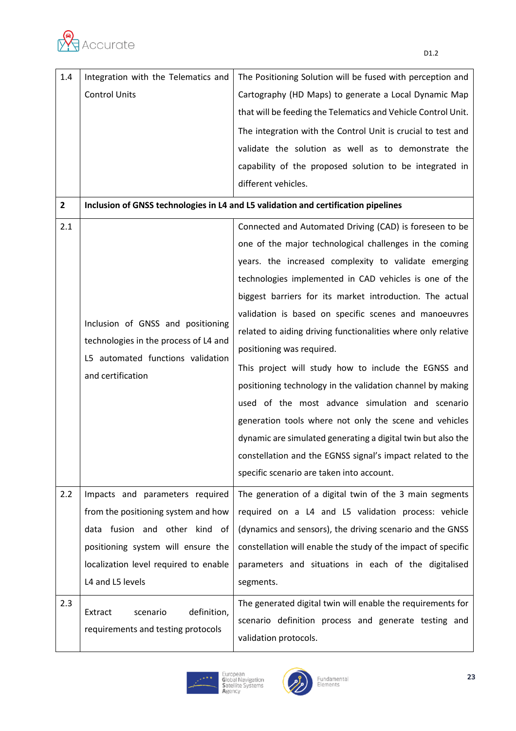

| 1.4          | Integration with the Telematics and                                                | The Positioning Solution will be fused with perception and    |  |
|--------------|------------------------------------------------------------------------------------|---------------------------------------------------------------|--|
|              | <b>Control Units</b>                                                               | Cartography (HD Maps) to generate a Local Dynamic Map         |  |
|              |                                                                                    | that will be feeding the Telematics and Vehicle Control Unit. |  |
|              |                                                                                    | The integration with the Control Unit is crucial to test and  |  |
|              |                                                                                    | validate the solution as well as to demonstrate the           |  |
|              |                                                                                    | capability of the proposed solution to be integrated in       |  |
|              |                                                                                    | different vehicles.                                           |  |
| $\mathbf{2}$ | Inclusion of GNSS technologies in L4 and L5 validation and certification pipelines |                                                               |  |
| 2.1          |                                                                                    | Connected and Automated Driving (CAD) is foreseen to be       |  |
|              |                                                                                    | one of the major technological challenges in the coming       |  |
|              |                                                                                    | years. the increased complexity to validate emerging          |  |
|              |                                                                                    | technologies implemented in CAD vehicles is one of the        |  |
|              |                                                                                    | biggest barriers for its market introduction. The actual      |  |
|              | validation is based on specific scenes and manoeuvres                              |                                                               |  |
|              | Inclusion of GNSS and positioning                                                  | related to aiding driving functionalities where only relative |  |
|              | technologies in the process of L4 and                                              | positioning was required.                                     |  |
|              | L5 automated functions validation                                                  | This project will study how to include the EGNSS and          |  |
|              | and certification                                                                  | positioning technology in the validation channel by making    |  |
|              |                                                                                    | used of the most advance simulation and scenario              |  |
|              |                                                                                    | generation tools where not only the scene and vehicles        |  |
|              |                                                                                    | dynamic are simulated generating a digital twin but also the  |  |
|              |                                                                                    | constellation and the EGNSS signal's impact related to the    |  |
|              |                                                                                    | specific scenario are taken into account.                     |  |
| 2.2          | Impacts and parameters required                                                    | The generation of a digital twin of the 3 main segments       |  |
|              | from the positioning system and how                                                | required on a L4 and L5 validation process: vehicle           |  |
|              | data fusion and other kind of                                                      | (dynamics and sensors), the driving scenario and the GNSS     |  |
|              | positioning system will ensure the                                                 | constellation will enable the study of the impact of specific |  |
|              | localization level required to enable                                              | parameters and situations in each of the digitalised          |  |
|              | L4 and L5 levels                                                                   | segments.                                                     |  |
| 2.3          |                                                                                    | The generated digital twin will enable the requirements for   |  |
|              | definition,<br>scenario<br>Extract                                                 | scenario definition process and generate testing and          |  |
|              | requirements and testing protocols                                                 | validation protocols.                                         |  |
|              |                                                                                    |                                                               |  |



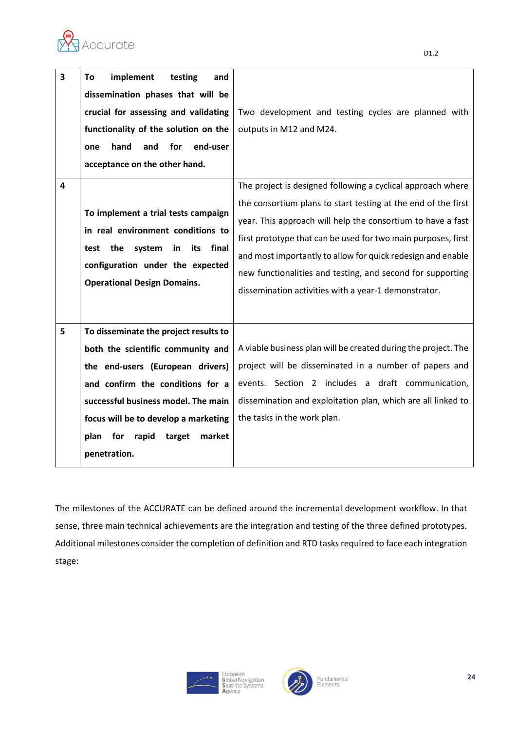

**4**

| 3 | implement<br>testing<br>and<br>To<br>dissemination phases that will be<br>crucial for assessing and validating<br>functionality of the solution on the<br>hand<br>for<br>end-user<br>and<br>one<br>acceptance on the other hand.  | Two development and testing cycles are planned with<br>outputs in M12 and M24.                                                                                                                                                                                                                                                                                                                                                                    |  |
|---|-----------------------------------------------------------------------------------------------------------------------------------------------------------------------------------------------------------------------------------|---------------------------------------------------------------------------------------------------------------------------------------------------------------------------------------------------------------------------------------------------------------------------------------------------------------------------------------------------------------------------------------------------------------------------------------------------|--|
| 4 | To implement a trial tests campaign<br>in real environment conditions to<br>the system<br>in<br>its<br>final<br>test<br>configuration under the expected<br><b>Operational Design Domains.</b>                                    | The project is designed following a cyclical approach where<br>the consortium plans to start testing at the end of the first<br>year. This approach will help the consortium to have a fast<br>first prototype that can be used for two main purposes, first<br>and most importantly to allow for quick redesign and enable<br>new functionalities and testing, and second for supporting<br>dissemination activities with a year-1 demonstrator. |  |
| 5 | To disseminate the project results to<br>both the scientific community and<br>the end-users (European drivers)<br>and confirm the conditions for a<br>successful business model. The main<br>focus will be to develop a marketing | A viable business plan will be created during the project. The<br>project will be disseminated in a number of papers and<br>events. Section 2 includes a draft communication,<br>dissemination and exploitation plan, which are all linked to<br>the tasks in the work plan.                                                                                                                                                                      |  |
|   |                                                                                                                                                                                                                                   |                                                                                                                                                                                                                                                                                                                                                                                                                                                   |  |

The milestones of the ACCURATE can be defined around the incremental development workflow. In that sense, three main technical achievements are the integration and testing of the three defined prototypes. Additional milestones consider the completion of definition and RTD tasks required to face each integration stage:

**plan for rapid target market** 

**penetration.** 

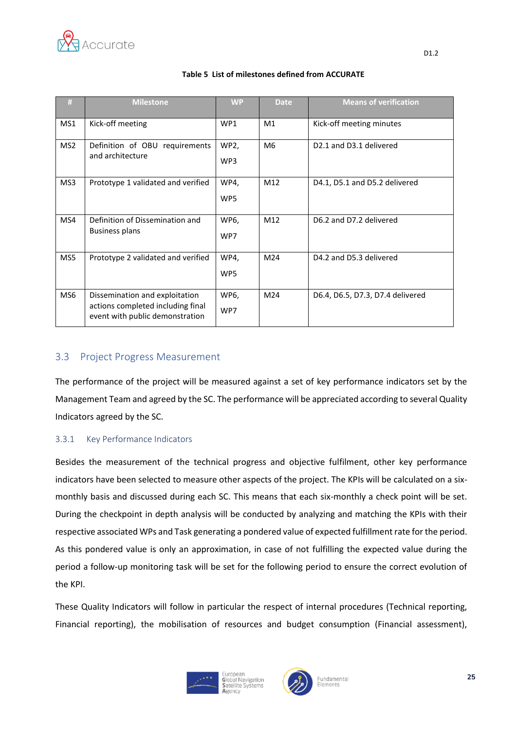

| #               | <b>Milestone</b>                                                                                       | <b>WP</b>   | <b>Date</b>    | <b>Means of verification</b>                    |
|-----------------|--------------------------------------------------------------------------------------------------------|-------------|----------------|-------------------------------------------------|
| MS1             | Kick-off meeting                                                                                       | WP1         | M1             | Kick-off meeting minutes                        |
| MS <sub>2</sub> | Definition of OBU requirements<br>and architecture                                                     | WP2,<br>WP3 | M <sub>6</sub> | D <sub>2.1</sub> and D <sub>3.1</sub> delivered |
| MS3             | Prototype 1 validated and verified                                                                     | WP4,<br>WP5 | M12            | D4.1, D5.1 and D5.2 delivered                   |
| MS4             | Definition of Dissemination and<br>Business plans                                                      | WP6,<br>WP7 | M12            | D6.2 and D7.2 delivered                         |
| MS5             | Prototype 2 validated and verified                                                                     | WP4,<br>WP5 | M24            | D4.2 and D5.3 delivered                         |
| MS <sub>6</sub> | Dissemination and exploitation<br>actions completed including final<br>event with public demonstration | WP6,<br>WP7 | M24            | D6.4, D6.5, D7.3, D7.4 delivered                |

#### **Table 5 List of milestones defined from ACCURATE**

#### <span id="page-24-0"></span>3.3 Project Progress Measurement

The performance of the project will be measured against a set of key performance indicators set by the Management Team and agreed by the SC. The performance will be appreciated according to several Quality Indicators agreed by the SC.

#### <span id="page-24-1"></span>3.3.1 Key Performance Indicators

Besides the measurement of the technical progress and objective fulfilment, other key performance indicators have been selected to measure other aspects of the project. The KPIs will be calculated on a sixmonthly basis and discussed during each SC. This means that each six-monthly a check point will be set. During the checkpoint in depth analysis will be conducted by analyzing and matching the KPIs with their respective associated WPs and Task generating a pondered value of expected fulfillment rate for the period. As this pondered value is only an approximation, in case of not fulfilling the expected value during the period a follow-up monitoring task will be set for the following period to ensure the correct evolution of the KPI.

These Quality Indicators will follow in particular the respect of internal procedures (Technical reporting, Financial reporting), the mobilisation of resources and budget consumption (Financial assessment),



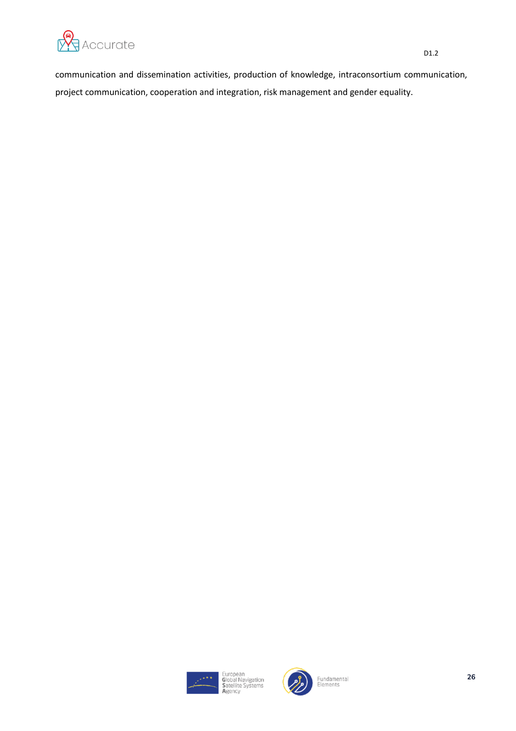

communication and dissemination activities, production of knowledge, intraconsortium communication, project communication, cooperation and integration, risk management and gender equality.

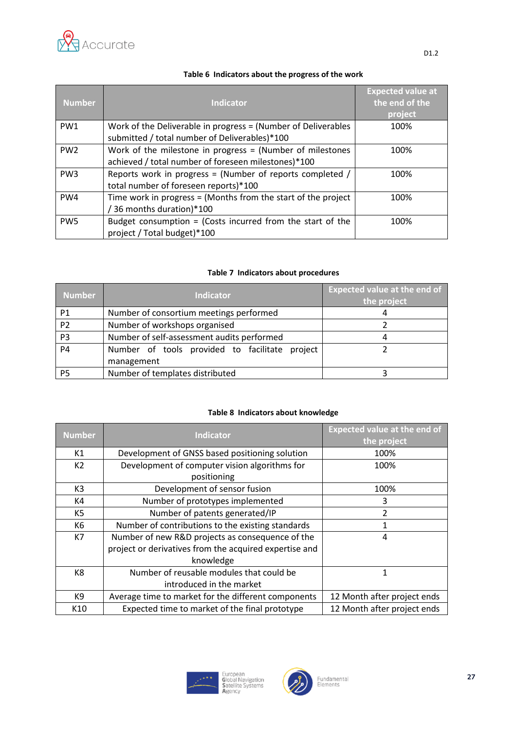

| <b>Number</b>   | <b>Indicator</b>                                                                                                   | <b>Expected value at</b><br>the end of the<br>project |
|-----------------|--------------------------------------------------------------------------------------------------------------------|-------------------------------------------------------|
| PW <sub>1</sub> | Work of the Deliverable in progress = (Number of Deliverables<br>submitted / total number of Deliverables)*100     | 100%                                                  |
| PW <sub>2</sub> | Work of the milestone in progress $=$ (Number of milestones<br>achieved / total number of foreseen milestones)*100 | 100%                                                  |
| PW <sub>3</sub> | Reports work in progress = (Number of reports completed /<br>total number of foreseen reports)*100                 | 100%                                                  |
| PW4             | Time work in progress = (Months from the start of the project<br>36 months duration)*100                           | 100%                                                  |
| PW <sub>5</sub> | Budget consumption = (Costs incurred from the start of the<br>project / Total budget)*100                          | 100%                                                  |

#### **Table 6 Indicators about the progress of the work**

#### **Table 7 Indicators about procedures**

| <b>Number</b>  | <b>Indicator</b>                               | <b>Expected value at the end of</b><br>the project |
|----------------|------------------------------------------------|----------------------------------------------------|
| P <sub>1</sub> | Number of consortium meetings performed        |                                                    |
| P <sub>2</sub> | Number of workshops organised                  |                                                    |
| P <sub>3</sub> | Number of self-assessment audits performed     |                                                    |
| <b>P4</b>      | Number of tools provided to facilitate project |                                                    |
|                | management                                     |                                                    |
| P5             | Number of templates distributed                |                                                    |

#### **Table 8 Indicators about knowledge**

| <b>Number</b>  | <b>Indicator</b>                                       | <b>Expected value at the end of</b><br>the project |
|----------------|--------------------------------------------------------|----------------------------------------------------|
| K1             | Development of GNSS based positioning solution         | 100%                                               |
| K2             | Development of computer vision algorithms for          | 100%                                               |
|                | positioning                                            |                                                    |
| K3             | Development of sensor fusion                           | 100%                                               |
| K4             | Number of prototypes implemented                       | 3                                                  |
| K5             | Number of patents generated/IP                         | $\overline{2}$                                     |
| K <sub>6</sub> | Number of contributions to the existing standards      |                                                    |
| K7             | Number of new R&D projects as consequence of the       | 4                                                  |
|                | project or derivatives from the acquired expertise and |                                                    |
|                | knowledge                                              |                                                    |
| K8             | Number of reusable modules that could be               | 1                                                  |
|                | introduced in the market                               |                                                    |
| K9             | Average time to market for the different components    | 12 Month after project ends                        |
| K10            | Expected time to market of the final prototype         | 12 Month after project ends                        |



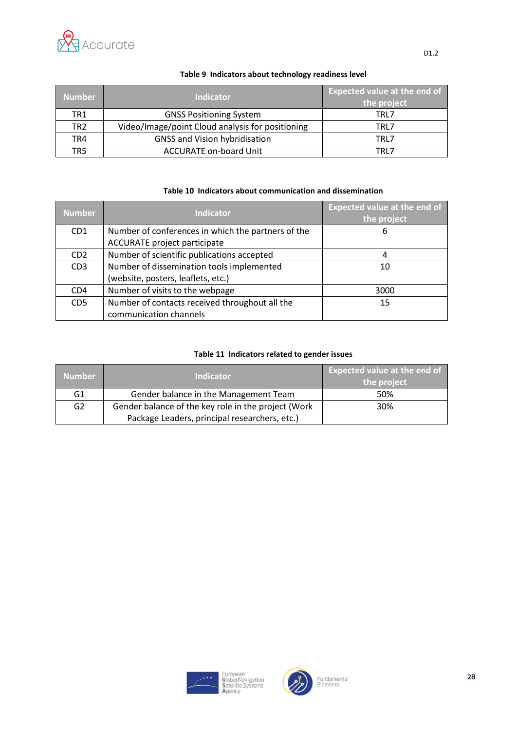

D1.2

| <b>Number</b>   | <b>Indicator</b>                                 | <b>Expected value at the end of</b><br>the project |
|-----------------|--------------------------------------------------|----------------------------------------------------|
| TR <sub>1</sub> | <b>GNSS Positioning System</b>                   | TRL7                                               |
| TR <sub>2</sub> | Video/Image/point Cloud analysis for positioning | TRL7                                               |
| TR4             | <b>GNSS and Vision hybridisation</b>             | TRL7                                               |
| TR5             | <b>ACCURATE on-board Unit</b>                    | TRI 7                                              |

#### **Table 9 Indicators about technology readiness level**

#### **Table 10 Indicators about communication and dissemination**

| <b>Number</b>   | <b>Indicator</b>                                   | <b>Expected value at the end of</b><br>the project |
|-----------------|----------------------------------------------------|----------------------------------------------------|
| CD <sub>1</sub> | Number of conferences in which the partners of the | 6                                                  |
|                 | ACCURATE project participate                       |                                                    |
| CD <sub>2</sub> | Number of scientific publications accepted         | 4                                                  |
| CD <sub>3</sub> | Number of dissemination tools implemented          | 10                                                 |
|                 | (website, posters, leaflets, etc.)                 |                                                    |
| CD <sub>4</sub> | Number of visits to the webpage                    | 3000                                               |
| CD <sub>5</sub> | Number of contacts received throughout all the     | 15                                                 |
|                 | communication channels                             |                                                    |

#### **Table 11 Indicators related to gender issues**

| <b>Number</b>  | <b>Indicator</b>                                    | <b>Expected value at the end of</b><br>the project |
|----------------|-----------------------------------------------------|----------------------------------------------------|
| G1             | Gender balance in the Management Team               | 50%                                                |
| G <sub>2</sub> | Gender balance of the key role in the project (Work | 30%                                                |
|                | Package Leaders, principal researchers, etc.)       |                                                    |



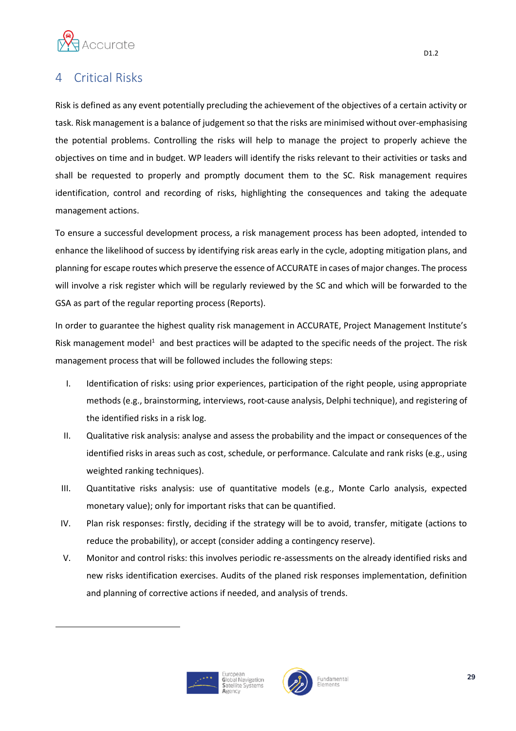

### <span id="page-28-0"></span>**Critical Risks**

Risk is defined as any event potentially precluding the achievement of the objectives of a certain activity or task. Risk management is a balance of judgement so that the risks are minimised without over-emphasising the potential problems. Controlling the risks will help to manage the project to properly achieve the objectives on time and in budget. WP leaders will identify the risks relevant to their activities or tasks and shall be requested to properly and promptly document them to the SC. Risk management requires identification, control and recording of risks, highlighting the consequences and taking the adequate management actions.

To ensure a successful development process, a risk management process has been adopted, intended to enhance the likelihood of success by identifying risk areas early in the cycle, adopting mitigation plans, and planning for escape routes which preserve the essence of ACCURATE in cases of major changes. The process will involve a risk register which will be regularly reviewed by the SC and which will be forwarded to the GSA as part of the regular reporting process (Reports).

In order to guarantee the highest quality risk management in ACCURATE, Project Management Institute's Risk management model<sup>1</sup> and best practices will be adapted to the specific needs of the project. The risk management process that will be followed includes the following steps:

- I. Identification of risks: using prior experiences, participation of the right people, using appropriate methods (e.g., brainstorming, interviews, root-cause analysis, Delphi technique), and registering of the identified risks in a risk log.
- II. Qualitative risk analysis: analyse and assess the probability and the impact or consequences of the identified risks in areas such as cost, schedule, or performance. Calculate and rank risks (e.g., using weighted ranking techniques).
- III. Quantitative risks analysis: use of quantitative models (e.g., Monte Carlo analysis, expected monetary value); only for important risks that can be quantified.
- IV. Plan risk responses: firstly, deciding if the strategy will be to avoid, transfer, mitigate (actions to reduce the probability), or accept (consider adding a contingency reserve).
- V. Monitor and control risks: this involves periodic re-assessments on the already identified risks and new risks identification exercises. Audits of the planed risk responses implementation, definition and planning of corrective actions if needed, and analysis of trends.





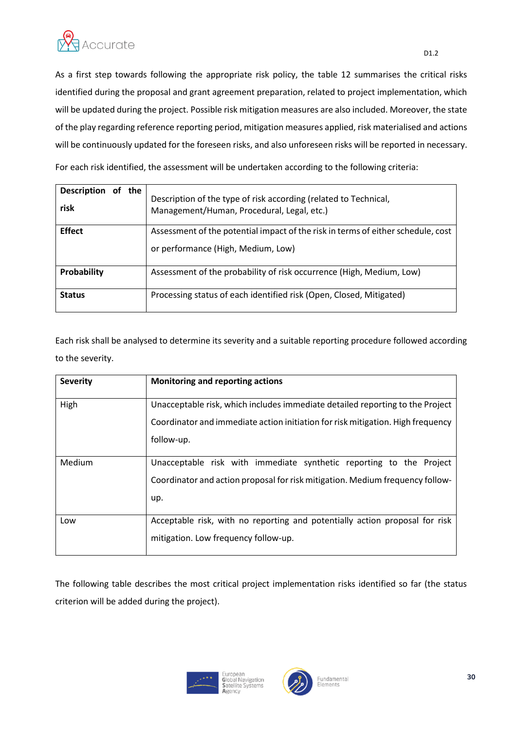

As a first step towards following the appropriate risk policy, the table 12 summarises the critical risks identified during the proposal and grant agreement preparation, related to project implementation, which will be updated during the project. Possible risk mitigation measures are also included. Moreover, the state of the play regarding reference reporting period, mitigation measures applied, risk materialised and actions will be continuously updated for the foreseen risks, and also unforeseen risks will be reported in necessary.

For each risk identified, the assessment will be undertaken according to the following criteria:

| of the<br><b>Description</b><br>risk | Description of the type of risk according (related to Technical,<br>Management/Human, Procedural, Legal, etc.)         |  |  |  |  |
|--------------------------------------|------------------------------------------------------------------------------------------------------------------------|--|--|--|--|
| <b>Effect</b>                        | Assessment of the potential impact of the risk in terms of either schedule, cost<br>or performance (High, Medium, Low) |  |  |  |  |
| Probability                          | Assessment of the probability of risk occurrence (High, Medium, Low)                                                   |  |  |  |  |
| <b>Status</b>                        | Processing status of each identified risk (Open, Closed, Mitigated)                                                    |  |  |  |  |

Each risk shall be analysed to determine its severity and a suitable reporting procedure followed according to the severity.

| <b>Severity</b> | <b>Monitoring and reporting actions</b>                                                                                                                                        |
|-----------------|--------------------------------------------------------------------------------------------------------------------------------------------------------------------------------|
| High            | Unacceptable risk, which includes immediate detailed reporting to the Project<br>Coordinator and immediate action initiation for risk mitigation. High frequency<br>follow-up. |
| Medium          | Unacceptable risk with immediate synthetic reporting to the Project<br>Coordinator and action proposal for risk mitigation. Medium frequency follow-<br>up.                    |
| Low             | Acceptable risk, with no reporting and potentially action proposal for risk<br>mitigation. Low frequency follow-up.                                                            |

The following table describes the most critical project implementation risks identified so far (the status criterion will be added during the project).

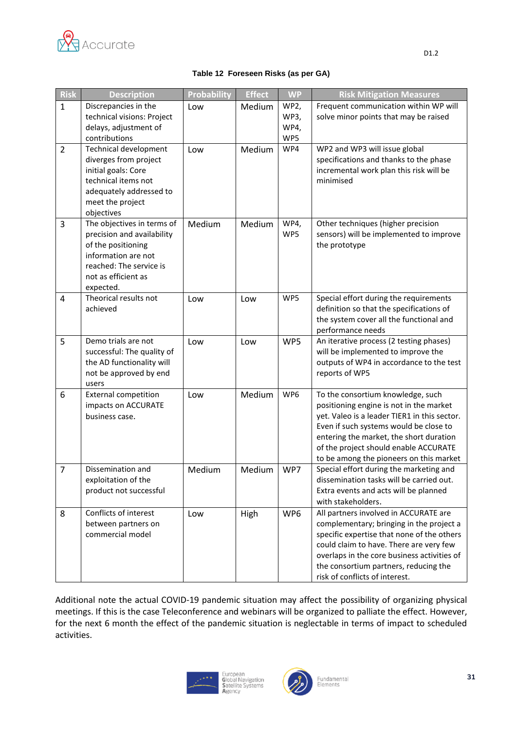

| <b>Risk</b>    | <b>Description</b>                         | <b>Probability</b> | <b>Effect</b> | <b>WP</b> | <b>Risk Mitigation Measures</b>                                                     |
|----------------|--------------------------------------------|--------------------|---------------|-----------|-------------------------------------------------------------------------------------|
| $\mathbf{1}$   | Discrepancies in the                       | Low                | Medium        | WP2,      | Frequent communication within WP will                                               |
|                | technical visions: Project                 |                    |               | WP3,      | solve minor points that may be raised                                               |
|                | delays, adjustment of                      |                    |               | WP4,      |                                                                                     |
|                | contributions                              |                    |               | WP5       |                                                                                     |
| $\overline{2}$ | Technical development                      | Low                | Medium        | WP4       | WP2 and WP3 will issue global                                                       |
|                | diverges from project                      |                    |               |           | specifications and thanks to the phase                                              |
|                | initial goals: Core<br>technical items not |                    |               |           | incremental work plan this risk will be<br>minimised                                |
|                | adequately addressed to                    |                    |               |           |                                                                                     |
|                | meet the project                           |                    |               |           |                                                                                     |
|                | objectives                                 |                    |               |           |                                                                                     |
| 3              | The objectives in terms of                 | Medium             | Medium        | WP4,      | Other techniques (higher precision                                                  |
|                | precision and availability                 |                    |               | WP5       | sensors) will be implemented to improve                                             |
|                | of the positioning                         |                    |               |           | the prototype                                                                       |
|                | information are not                        |                    |               |           |                                                                                     |
|                | reached: The service is                    |                    |               |           |                                                                                     |
|                | not as efficient as                        |                    |               |           |                                                                                     |
|                | expected.                                  |                    |               |           |                                                                                     |
| 4              | Theorical results not                      | Low                | Low           | WP5       | Special effort during the requirements                                              |
|                | achieved                                   |                    |               |           | definition so that the specifications of<br>the system cover all the functional and |
|                |                                            |                    |               |           | performance needs                                                                   |
| 5              | Demo trials are not                        | Low                | Low           | WP5       | An iterative process (2 testing phases)                                             |
|                | successful: The quality of                 |                    |               |           | will be implemented to improve the                                                  |
|                | the AD functionality will                  |                    |               |           | outputs of WP4 in accordance to the test                                            |
|                | not be approved by end                     |                    |               |           | reports of WP5                                                                      |
|                | users                                      |                    |               |           |                                                                                     |
| 6              | <b>External competition</b>                | Low                | Medium        | WP6       | To the consortium knowledge, such                                                   |
|                | impacts on ACCURATE                        |                    |               |           | positioning engine is not in the market                                             |
|                | business case.                             |                    |               |           | yet. Valeo is a leader TIER1 in this sector.                                        |
|                |                                            |                    |               |           | Even if such systems would be close to                                              |
|                |                                            |                    |               |           | entering the market, the short duration                                             |
|                |                                            |                    |               |           | of the project should enable ACCURATE<br>to be among the pioneers on this market    |
| $\overline{7}$ | Dissemination and                          | Medium             | Medium        | WP7       | Special effort during the marketing and                                             |
|                | exploitation of the                        |                    |               |           | dissemination tasks will be carried out.                                            |
|                | product not successful                     |                    |               |           | Extra events and acts will be planned                                               |
|                |                                            |                    |               |           | with stakeholders.                                                                  |
| 8              | Conflicts of interest                      | Low                | High          | WP6       | All partners involved in ACCURATE are                                               |
|                | between partners on                        |                    |               |           | complementary; bringing in the project a                                            |
|                | commercial model                           |                    |               |           | specific expertise that none of the others                                          |
|                |                                            |                    |               |           | could claim to have. There are very few                                             |
|                |                                            |                    |               |           | overlaps in the core business activities of                                         |
|                |                                            |                    |               |           | the consortium partners, reducing the                                               |
|                |                                            |                    |               |           | risk of conflicts of interest.                                                      |

Additional note the actual COVID-19 pandemic situation may affect the possibility of organizing physical meetings. If this is the case Teleconference and webinars will be organized to palliate the effect. However, for the next 6 month the effect of the pandemic situation is neglectable in terms of impact to scheduled activities.



European<br>Global Navigation<br>Satellite Systems

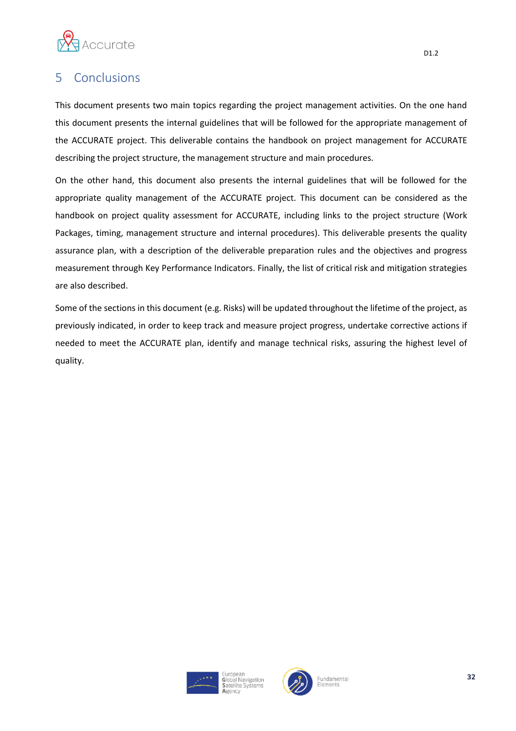

### <span id="page-31-0"></span>5 Conclusions

This document presents two main topics regarding the project management activities. On the one hand this document presents the internal guidelines that will be followed for the appropriate management of the ACCURATE project. This deliverable contains the handbook on project management for ACCURATE describing the project structure, the management structure and main procedures.

On the other hand, this document also presents the internal guidelines that will be followed for the appropriate quality management of the ACCURATE project. This document can be considered as the handbook on project quality assessment for ACCURATE, including links to the project structure (Work Packages, timing, management structure and internal procedures). This deliverable presents the quality assurance plan, with a description of the deliverable preparation rules and the objectives and progress measurement through Key Performance Indicators. Finally, the list of critical risk and mitigation strategies are also described.

Some of the sections in this document (e.g. Risks) will be updated throughout the lifetime of the project, as previously indicated, in order to keep track and measure project progress, undertake corrective actions if needed to meet the ACCURATE plan, identify and manage technical risks, assuring the highest level of quality.



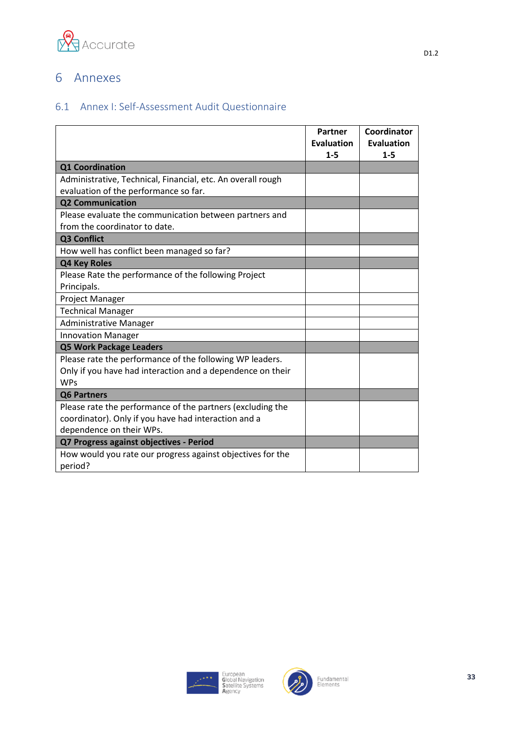

### <span id="page-32-0"></span>6 Annexes

#### <span id="page-32-1"></span>6.1 Annex I: Self-Assessment Audit Questionnaire

|                                                             | Partner<br>Evaluation<br>$1 - 5$ | Coordinator<br><b>Evaluation</b><br>$1 - 5$ |
|-------------------------------------------------------------|----------------------------------|---------------------------------------------|
| <b>Q1 Coordination</b>                                      |                                  |                                             |
| Administrative, Technical, Financial, etc. An overall rough |                                  |                                             |
| evaluation of the performance so far.                       |                                  |                                             |
| <b>Q2 Communication</b>                                     |                                  |                                             |
| Please evaluate the communication between partners and      |                                  |                                             |
| from the coordinator to date.                               |                                  |                                             |
| Q3 Conflict                                                 |                                  |                                             |
| How well has conflict been managed so far?                  |                                  |                                             |
| Q4 Key Roles                                                |                                  |                                             |
| Please Rate the performance of the following Project        |                                  |                                             |
| Principals.                                                 |                                  |                                             |
| Project Manager                                             |                                  |                                             |
| <b>Technical Manager</b>                                    |                                  |                                             |
| <b>Administrative Manager</b>                               |                                  |                                             |
| <b>Innovation Manager</b>                                   |                                  |                                             |
| <b>Q5 Work Package Leaders</b>                              |                                  |                                             |
| Please rate the performance of the following WP leaders.    |                                  |                                             |
| Only if you have had interaction and a dependence on their  |                                  |                                             |
| <b>WPs</b>                                                  |                                  |                                             |
| <b>Q6 Partners</b>                                          |                                  |                                             |
| Please rate the performance of the partners (excluding the  |                                  |                                             |
| coordinator). Only if you have had interaction and a        |                                  |                                             |
| dependence on their WPs.                                    |                                  |                                             |
| Q7 Progress against objectives - Period                     |                                  |                                             |
| How would you rate our progress against objectives for the  |                                  |                                             |
| period?                                                     |                                  |                                             |